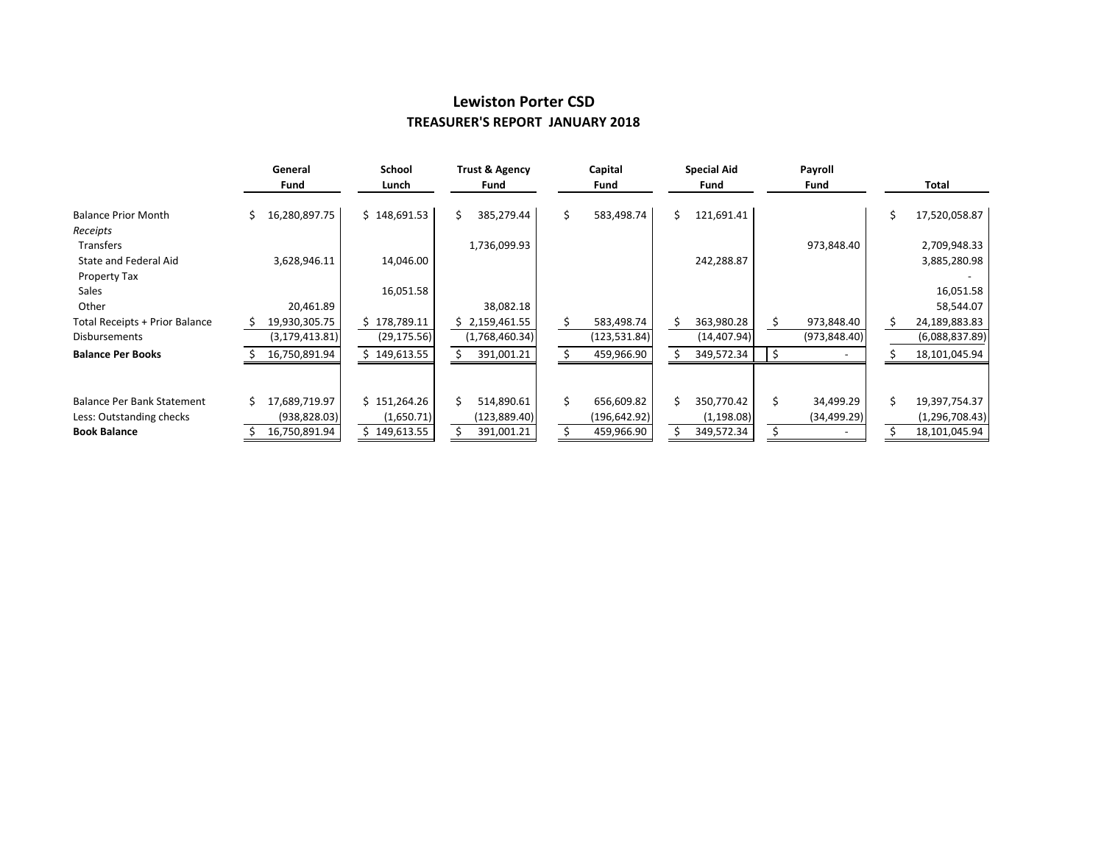## **Lewiston Porter CSD TREASURER'S REPORT JANUARY 2018**

|                                   |    | General          | School       |    | Trust & Agency |    | Capital       |   | <b>Special Aid</b> |    | Payroll       |  |                  |
|-----------------------------------|----|------------------|--------------|----|----------------|----|---------------|---|--------------------|----|---------------|--|------------------|
|                                   |    | Fund             | Lunch        |    | Fund           |    | Fund          |   | Fund               |    | Fund          |  | Total            |
| <b>Balance Prior Month</b>        |    | 16,280,897.75    | \$148,691.53 | \$ | 385,279.44     | \$ | 583,498.74    | Ś | 121,691.41         |    |               |  | 17,520,058.87    |
| Receipts                          |    |                  |              |    |                |    |               |   |                    |    |               |  |                  |
| <b>Transfers</b>                  |    |                  |              |    | 1,736,099.93   |    |               |   |                    |    | 973,848.40    |  | 2,709,948.33     |
| State and Federal Aid             |    | 3,628,946.11     | 14,046.00    |    |                |    |               |   | 242,288.87         |    |               |  | 3,885,280.98     |
| <b>Property Tax</b>               |    |                  |              |    |                |    |               |   |                    |    |               |  |                  |
| Sales                             |    |                  | 16,051.58    |    |                |    |               |   |                    |    |               |  | 16,051.58        |
| Other                             |    | 20,461.89        |              |    | 38,082.18      |    |               |   |                    |    |               |  | 58,544.07        |
| Total Receipts + Prior Balance    |    | 19,930,305.75    | 178,789.11   |    | \$2,159,461.55 |    | 583,498.74    |   | 363,980.28         |    | 973,848.40    |  | 24,189,883.83    |
| <b>Disbursements</b>              |    | (3, 179, 413.81) | (29, 175.56) |    | (1,768,460.34) |    | (123, 531.84) |   | (14, 407.94)       |    | (973, 848.40) |  | (6,088,837.89)   |
| <b>Balance Per Books</b>          |    | 16,750,891.94    | 149,613.55   |    | 391,001.21     |    | 459,966.90    |   | 349,572.34         |    |               |  | 18,101,045.94    |
|                                   |    |                  |              |    |                |    |               |   |                    |    |               |  |                  |
| <b>Balance Per Bank Statement</b> | S. | 17,689,719.97    | \$151,264.26 | Ś  | 514,890.61     | Ś. | 656,609.82    | Ś | 350,770.42         | Ś. | 34,499.29     |  | 19,397,754.37    |
| Less: Outstanding checks          |    | (938, 828.03)    | (1,650.71)   |    | (123,889.40)   |    | (196,642.92)  |   | (1, 198.08)        |    | (34, 499.29)  |  | (1, 296, 708.43) |
| <b>Book Balance</b>               |    | 16,750,891.94    | 149,613.55   |    | 391,001.21     |    | 459,966.90    |   | 349,572.34         |    |               |  | 18,101,045.94    |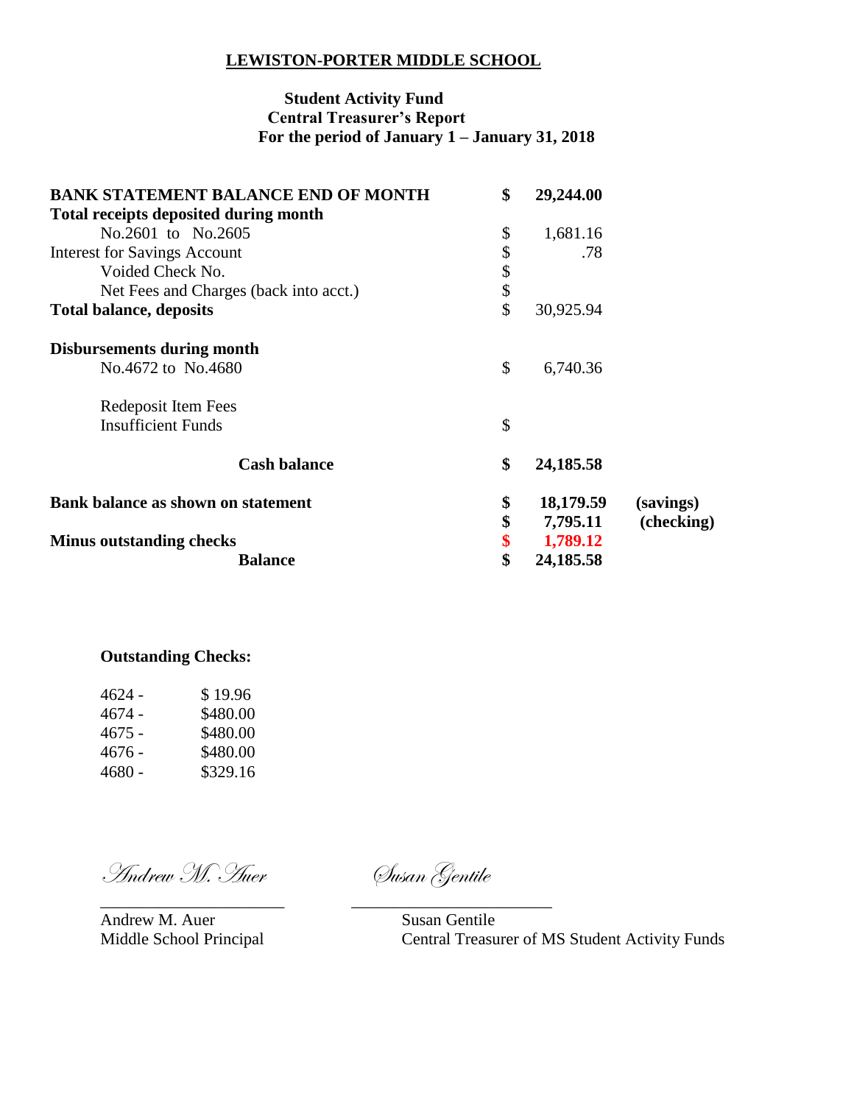## **LEWISTON-PORTER MIDDLE SCHOOL**

## **Student Activity Fund Central Treasurer's Report For the period of January 1 – January 31, 2018**

| <b>BANK STATEMENT BALANCE END OF MONTH</b>   | \$<br>29,244.00 |            |
|----------------------------------------------|-----------------|------------|
| <b>Total receipts deposited during month</b> |                 |            |
| No.2601 to No.2605                           | \$<br>1,681.16  |            |
| <b>Interest for Savings Account</b>          | \$<br>.78       |            |
| Voided Check No.                             | \$              |            |
| Net Fees and Charges (back into acct.)       | \$              |            |
| <b>Total balance, deposits</b>               | \$<br>30,925.94 |            |
| Disbursements during month                   |                 |            |
| No.4672 to No.4680                           | \$<br>6,740.36  |            |
| Redeposit Item Fees                          |                 |            |
| <b>Insufficient Funds</b>                    | \$              |            |
| <b>Cash balance</b>                          | \$<br>24,185.58 |            |
| <b>Bank balance as shown on statement</b>    | \$<br>18,179.59 | (savings)  |
|                                              | \$<br>7,795.11  | (checking) |
| <b>Minus outstanding checks</b>              | \$<br>1,789.12  |            |
| <b>Balance</b>                               | \$<br>24,185.58 |            |

## **Outstanding Checks:**

| 4624 -   | \$19.96  |
|----------|----------|
| $4674 -$ | \$480.00 |
| 4675 -   | \$480.00 |
| 4676 -   | \$480.00 |
| 4680 -   | \$329.16 |

Andrew M. Auer Susan Gentile

Andrew M. Auer Susan Gentile

\_\_\_\_\_\_\_\_\_\_\_\_\_\_\_\_\_\_\_\_\_\_ \_\_\_\_\_\_\_\_\_\_\_\_\_\_\_\_\_\_\_\_\_\_\_\_

Middle School Principal Central Treasurer of MS Student Activity Funds